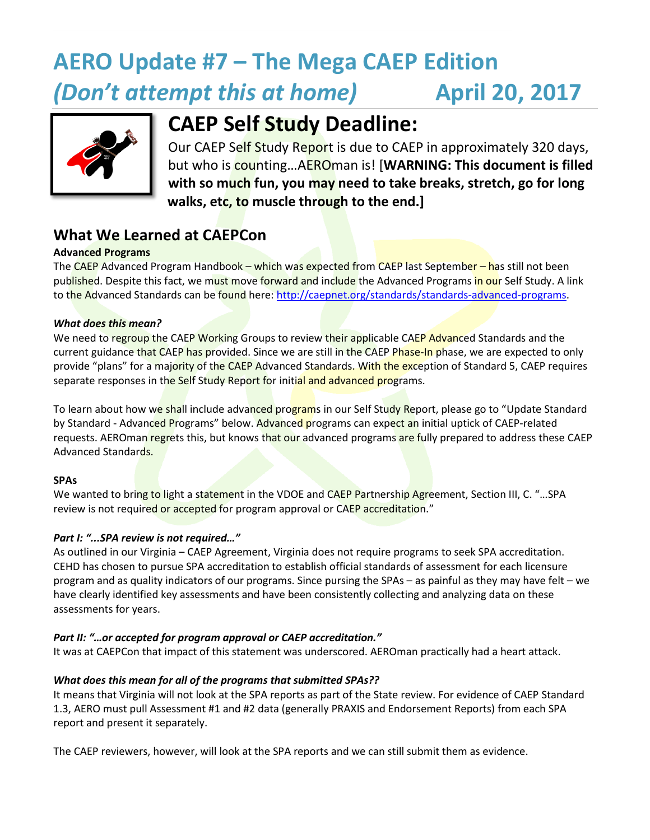# **AERO Update #7 – The Mega CAEP Edition** *(Don't attempt this at home)* **April 20, 2017**



## **CAEP Self Study Deadline:**

Our CAEP Self Study Report is due to CAEP in approximately 320 days, but who is counting…AEROman is! [**WARNING: This document is filled with so much fun, you may need to take breaks, stretch, go for long walks, etc, to muscle through to the end.]**

## **What We Learned at CAEPCon**

#### **Advanced Programs**

The CAEP Advanced Program Handbook – which was expected from CAEP last September – has still not been published. Despite this fact, we must move forward and include the Advanced Programs in our Self Study. A link to the Advanced Standards can be found here[: http://caepnet.org/standards/standards-advanced-programs.](http://caepnet.org/standards/standards-advanced-programs)

#### *What does this mean?*

We need to regroup the CAEP Working Groups to review their applicable CAEP Advanced Standards and the current guidance that CAEP has provided. Since we are still in the CAEP Phase-In phase, we are expected to only provide "plans" for a majority of the CAEP Advanced Standards. With the exception of Standard 5, CAEP requires separate responses in the Self Study Report for initial and advanced programs.

To learn about how we shall include advanced programs in our Self Study Report, please go to "Update Standard by Standard - Advanced Programs" below. Advanced programs can expect an initial uptick of CAEP-related requests. AEROman regrets this, but knows that our advanced programs are fully prepared to address these CAEP Advanced Standards.

#### **SPAs**

We wanted to bring to light a statement in the VDOE and CAEP Partnership Agreement, Section III, C. "... SPA review is not required or accepted for program approval or CAEP accreditation."

#### *Part I: "...SPA review is not required…"*

As outlined in our Virginia – CAEP Agreement, Virginia does not require programs to seek SPA accreditation. CEHD has chosen to pursue SPA accreditation to establish official standards of assessment for each licensure program and as quality indicators of our programs. Since pursing the SPAs – as painful as they may have felt – we have clearly identified key assessments and have been consistently collecting and analyzing data on these assessments for years.

#### *Part II: "…or accepted for program approval or CAEP accreditation."*

It was at CAEPCon that impact of this statement was underscored. AEROman practically had a heart attack.

#### *What does this mean for all of the programs that submitted SPAs??*

It means that Virginia will not look at the SPA reports as part of the State review. For evidence of CAEP Standard 1.3, AERO must pull Assessment #1 and #2 data (generally PRAXIS and Endorsement Reports) from each SPA report and present it separately.

The CAEP reviewers, however, will look at the SPA reports and we can still submit them as evidence.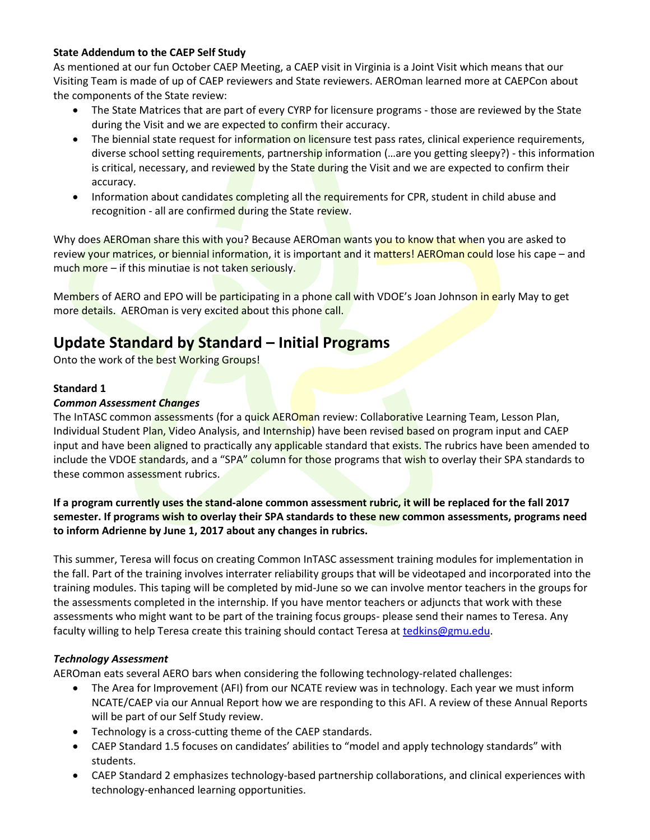#### **State Addendum to the CAEP Self Study**

As mentioned at our fun October CAEP Meeting, a CAEP visit in Virginia is a Joint Visit which means that our Visiting Team is made of up of CAEP reviewers and State reviewers. AEROman learned more at CAEPCon about the components of the State review:

- The State Matrices that are part of every CYRP for licensure programs those are reviewed by the State during the Visit and we are expected to confirm their accuracy.
- The biennial state request for information on licensure test pass rates, clinical experience requirements, diverse school setting requirements, partnership information (... are you getting sleepy?) - this information is critical, necessary, and reviewed by the State during the Visit and we are expected to confirm their accuracy.
- Information about candidates completing all the requirements for CPR, student in child abuse and recognition - all are confirmed during the State review.

Why does AEROman share this with you? Because AEROman wants you to know that when you are asked to review your matrices, or biennial information, it is important and it matters! AEROman could lose his cape – and much more – if this minutiae is not taken seriously.

Members of AERO and EPO will be participating in a phone call with VDOE's Joan Johnson in early May to get more details. AEROman is very excited about this phone call.

## **Update Standard by Standard – Initial Programs**

Onto the work of the best Working Groups!

#### **Standard 1**

#### *Common Assessment Changes*

The InTASC common assessments (for a quick AEROman review: Collaborative Learning Team, Lesson Plan, Individual Student Plan, Video Analysis, and Internship) have been revised based on program input and CAEP input and have been aligned to practically any applicable standard that exists. The rubrics have been amended to include the VDOE standards, and a "SPA" column for those programs that wish to overlay their SPA standards to these common assessment rubrics.

#### **If a program currently uses the stand-alone common assessment rubric, it will be replaced for the fall 2017 semester. If programs wish to overlay their SPA standards to these new common assessments, programs need to inform Adrienne by June 1, 2017 about any changes in rubrics.**

This summer, Teresa will focus on creating Common InTASC assessment training modules for implementation in the fall. Part of the training involves interrater reliability groups that will be videotaped and incorporated into the training modules. This taping will be completed by mid-June so we can involve mentor teachers in the groups for the assessments completed in the internship. If you have mentor teachers or adjuncts that work with these assessments who might want to be part of the training focus groups- please send their names to Teresa. Any faculty willing to help Teresa create this training should contact Teresa a[t tedkins@gmu.edu.](mailto:tedkins@gmu.edu)

#### *Technology Assessment*

AEROman eats several AERO bars when considering the following technology-related challenges:

- The Area for Improvement (AFI) from our NCATE review was in technology. Each year we must inform NCATE/CAEP via our Annual Report how we are responding to this AFI. A review of these Annual Reports will be part of our Self Study review.
- Technology is a cross-cutting theme of the CAEP standards.
- CAEP Standard 1.5 focuses on candidates' abilities to "model and apply technology standards" with students.
- CAEP Standard 2 emphasizes technology-based partnership collaborations, and clinical experiences with technology-enhanced learning opportunities.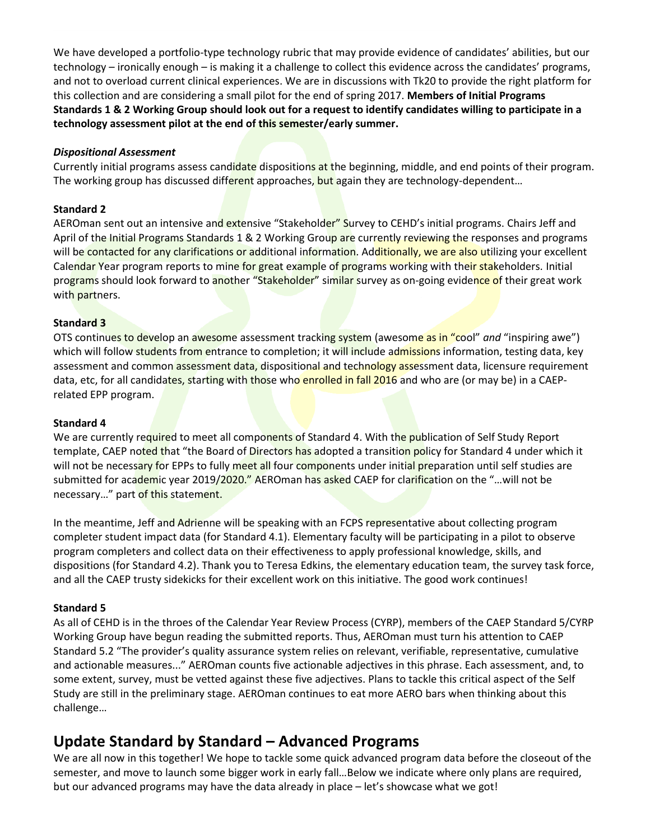We have developed a portfolio-type technology rubric that may provide evidence of candidates' abilities, but our technology – ironically enough – is making it a challenge to collect this evidence across the candidates' programs, and not to overload current clinical experiences. We are in discussions with Tk20 to provide the right platform for this collection and are considering a small pilot for the end of spring 2017. **Members of Initial Programs Standards 1 & 2 Working Group should look out for a request to identify candidates willing to participate in a technology assessment pilot at the end of this semester/early summer.** 

#### *Dispositional Assessment*

Currently initial programs assess candidate dispositions at the beginning, middle, and end points of their program. The working group has discussed different approaches, but again they are technology-dependent...

#### **Standard 2**

AEROman sent out an intensive and extensive "Stakeholder" Survey to CEHD's initial programs. Chairs Jeff and April of the Initial Programs Standards 1 & 2 Working Group are currently reviewing the responses and programs will be contacted for any clarifications or additional information. Additionally, we are also utilizing your excellent Calendar Year program reports to mine for great example of programs working with their stakeholders. Initial programs should look forward to another "Stakeholder" similar survey as on-going evidence of their great work with partners.

#### **Standard 3**

OTS continues to develop an awesome assessment tracking system (awesome as in "cool" *and* "inspiring awe") which will follow students from entrance to completion; it will include admissions information, testing data, key assessment and common assessment data, dispositional and technology assessment data, licensure requirement data, etc, for all candidates, starting with those who enrolled in fall 2016 and who are (or may be) in a CAEPrelated EPP program.

#### **Standard 4**

We are currently required to meet all components of Standard 4. With the publication of Self Study Report template, CAEP noted that "the Board of Directors has adopted a transition policy for Standard 4 under which it will not be necessary for EPPs to fully meet all four components under initial preparation until self studies are submitted for academic year 2019/2020." AEROman has asked CAEP for clarification on the "... will not be necessary…" part of this statement.

In the meantime, Jeff and Adrienne will be speaking with an FCPS representative about collecting program completer student impact data (for Standard 4.1). Elementary faculty will be participating in a pilot to observe program completers and collect data on their effectiveness to apply professional knowledge, skills, and dispositions (for Standard 4.2). Thank you to Teresa Edkins, the elementary education team, the survey task force, and all the CAEP trusty sidekicks for their excellent work on this initiative. The good work continues!

#### **Standard 5**

As all of CEHD is in the throes of the Calendar Year Review Process (CYRP), members of the CAEP Standard 5/CYRP Working Group have begun reading the submitted reports. Thus, AEROman must turn his attention to CAEP Standard 5.2 "The provider's quality assurance system relies on relevant, verifiable, representative, cumulative and actionable measures..." AEROman counts five actionable adjectives in this phrase. Each assessment, and, to some extent, survey, must be vetted against these five adjectives. Plans to tackle this critical aspect of the Self Study are still in the preliminary stage. AEROman continues to eat more AERO bars when thinking about this challenge…

### **Update Standard by Standard – Advanced Programs**

We are all now in this together! We hope to tackle some quick advanced program data before the closeout of the semester, and move to launch some bigger work in early fall…Below we indicate where only plans are required, but our advanced programs may have the data already in place – let's showcase what we got!